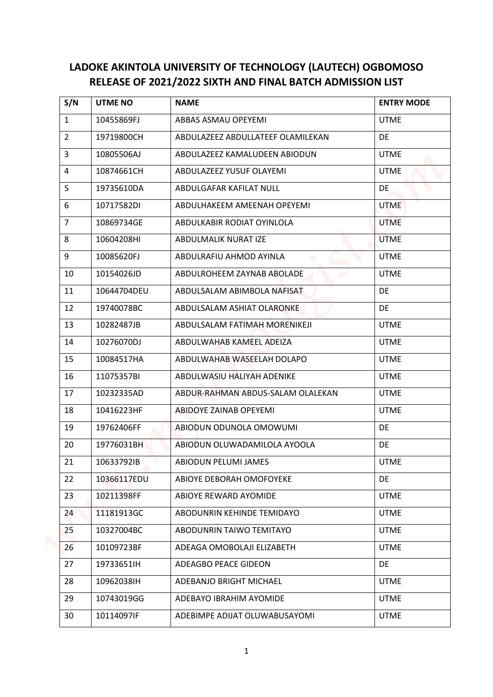## **LADOKE AKINTOLA UNIVERSITY OF TECHNOLOGY (LAUTECH) OGBOMOSO RELEASE OF 2021/2022 SIXTH AND FINAL BATCH ADMISSION LIST**

|                |                | RELEASE OF 2021/2022 SIXTH AND FINAL BATCH ADMISSION LIST |                   |
|----------------|----------------|-----------------------------------------------------------|-------------------|
| S/N            | <b>UTME NO</b> | <b>NAME</b>                                               | <b>ENTRY MODE</b> |
| $\mathbf{1}$   | 10455869FJ     | ABBAS ASMAU OPEYEMI                                       | <b>UTME</b>       |
| $\overline{2}$ | 19719800CH     | ABDULAZEEZ ABDULLATEEF OLAMILEKAN                         | DE                |
| 3              | 10805506AJ     | ABDULAZEEZ KAMALUDEEN ABIODUN                             | <b>UTME</b>       |
| 4              | 10874661CH     | ABDULAZEEZ YUSUF OLAYEMI                                  | <b>UTME</b>       |
| 5              | 19735610DA     | ABDULGAFAR KAFILAT NULL                                   | DE                |
| 6              | 10717582DI     | ABDULHAKEEM AMEENAH OPEYEMI                               | <b>UTME</b>       |
| $\overline{7}$ | 10869734GE     | ABDULKABIR RODIAT OYINLOLA                                | <b>UTME</b>       |
| 8              | 10604208HI     | ABDULMALIK NURAT IZE                                      | <b>UTME</b>       |
| 9              | 10085620FJ     | ABDULRAFIU AHMOD AYINLA                                   | <b>UTME</b>       |
| 10             | 10154026JD     | ABDULROHEEM ZAYNAB ABOLADE                                | <b>UTME</b>       |
| 11             | 10644704DEU    | ABDULSALAM ABIMBOLA NAFISAT                               | DE                |
| 12             | 19740078BC     | ABDULSALAM ASHIAT OLARONKE                                | DE                |
| 13             | 10282487JB     | ABDULSALAM FATIMAH MORENIKEJI                             | <b>UTME</b>       |
| 14             | 10276070DJ     | ABDULWAHAB KAMEEL ADEIZA                                  | <b>UTME</b>       |
| 15             | 10084517HA     | ABDULWAHAB WASEELAH DOLAPO                                | <b>UTME</b>       |
| 16             | 11075357BI     | ABDULWASIU HALIYAH ADENIKE                                | <b>UTME</b>       |
| 17             | 10232335AD     | ABDUR-RAHMAN ABDUS-SALAM OLALEKAN                         | <b>UTME</b>       |
| 18             | 10416223HF     | ABIDOYE ZAINAB OPEYEMI                                    | <b>UTME</b>       |
| 19             | 19762406FF     | ABIODUN ODUNOLA OMOWUMI                                   | DE                |
| 20             | 19776031BH     | ABIODUN OLUWADAMILOLA AYOOLA                              | DE                |
| 21             | 10633792IB     | ABIODUN PELUMI JAMES                                      | <b>UTME</b>       |
| 22             | 10366117EDU    | ABIOYE DEBORAH OMOFOYEKE                                  | <b>DE</b>         |
| 23             | 10211398FF     | ABIOYE REWARD AYOMIDE                                     | <b>UTME</b>       |
| 24             | 11181913GC     | ABODUNRIN KEHINDE TEMIDAYO                                | <b>UTME</b>       |
| 25             | 10327004BC     | ABODUNRIN TAIWO TEMITAYO                                  | <b>UTME</b>       |
| 26             | 10109723BF     | ADEAGA OMOBOLAJI ELIZABETH                                | <b>UTME</b>       |
| 27             | 19733651IH     | ADEAGBO PEACE GIDEON                                      | DE                |
| 28             | 10962038IH     | ADEBANJO BRIGHT MICHAEL                                   | <b>UTME</b>       |
| 29             | 10743019GG     | ADEBAYO IBRAHIM AYOMIDE                                   | <b>UTME</b>       |
| 30             | 10114097IF     | ADEBIMPE ADIJAT OLUWABUSAYOMI                             | <b>UTME</b>       |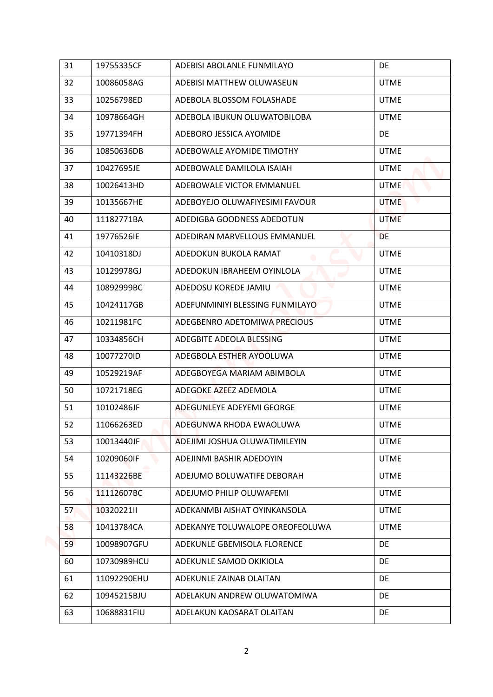| 31 | 19755335CF  | ADEBISI ABOLANLE FUNMILAYO      | DE          |
|----|-------------|---------------------------------|-------------|
| 32 | 10086058AG  | ADEBISI MATTHEW OLUWASEUN       | <b>UTME</b> |
| 33 | 10256798ED  | ADEBOLA BLOSSOM FOLASHADE       | <b>UTME</b> |
| 34 | 10978664GH  | ADEBOLA IBUKUN OLUWATOBILOBA    | <b>UTME</b> |
| 35 | 19771394FH  | ADEBORO JESSICA AYOMIDE         | DE          |
| 36 | 10850636DB  | ADEBOWALE AYOMIDE TIMOTHY       | <b>UTME</b> |
| 37 | 10427695JE  | ADEBOWALE DAMILOLA ISAIAH       | <b>UTME</b> |
| 38 | 10026413HD  | ADEBOWALE VICTOR EMMANUEL       | <b>UTME</b> |
| 39 | 10135667HE  | ADEBOYEJO OLUWAFIYESIMI FAVOUR  | <b>UTME</b> |
| 40 | 11182771BA  | ADEDIGBA GOODNESS ADEDOTUN      | <b>UTME</b> |
| 41 | 19776526IE  | ADEDIRAN MARVELLOUS EMMANUEL    | DE          |
| 42 | 10410318DJ  | ADEDOKUN BUKOLA RAMAT           | <b>UTME</b> |
| 43 | 10129978GJ  | ADEDOKUN IBRAHEEM OYINLOLA      | <b>UTME</b> |
| 44 | 10892999BC  | ADEDOSU KOREDE JAMIU            | <b>UTME</b> |
| 45 | 10424117GB  | ADEFUNMINIYI BLESSING FUNMILAYO | <b>UTME</b> |
| 46 | 10211981FC  | ADEGBENRO ADETOMIWA PRECIOUS    | <b>UTME</b> |
| 47 | 10334856CH  | ADEGBITE ADEOLA BLESSING        | <b>UTME</b> |
| 48 | 10077270ID  | ADEGBOLA ESTHER AYOOLUWA        | <b>UTME</b> |
| 49 | 10529219AF  | ADEGBOYEGA MARIAM ABIMBOLA      | <b>UTME</b> |
| 50 | 10721718EG  | ADEGOKE AZEEZ ADEMOLA           | <b>UTME</b> |
| 51 | 10102486JF  | ADEGUNLEYE ADEYEMI GEORGE       | <b>UTME</b> |
| 52 | 11066263ED  | ADEGUNWA RHODA EWAOLUWA         | <b>UTME</b> |
| 53 | 10013440JF  | ADEJIMI JOSHUA OLUWATIMILEYIN   | <b>UTME</b> |
| 54 | 10209060IF  | ADEJINMI BASHIR ADEDOYIN        | <b>UTME</b> |
| 55 | 11143226BE  | ADEJUMO BOLUWATIFE DEBORAH      | <b>UTME</b> |
| 56 | 11112607BC  | ADEJUMO PHILIP OLUWAFEMI        | <b>UTME</b> |
| 57 | 10320221II  | ADEKANMBI AISHAT OYINKANSOLA    | <b>UTME</b> |
| 58 | 10413784CA  | ADEKANYE TOLUWALOPE OREOFEOLUWA | <b>UTME</b> |
| 59 | 10098907GFU | ADEKUNLE GBEMISOLA FLORENCE     | DE          |
| 60 | 10730989HCU | ADEKUNLE SAMOD OKIKIOLA         | DE          |
| 61 | 11092290EHU | ADEKUNLE ZAINAB OLAITAN         | DE          |
| 62 | 10945215BJU | ADELAKUN ANDREW OLUWATOMIWA     | <b>DE</b>   |
| 63 | 10688831FIU | ADELAKUN KAOSARAT OLAITAN       | DE          |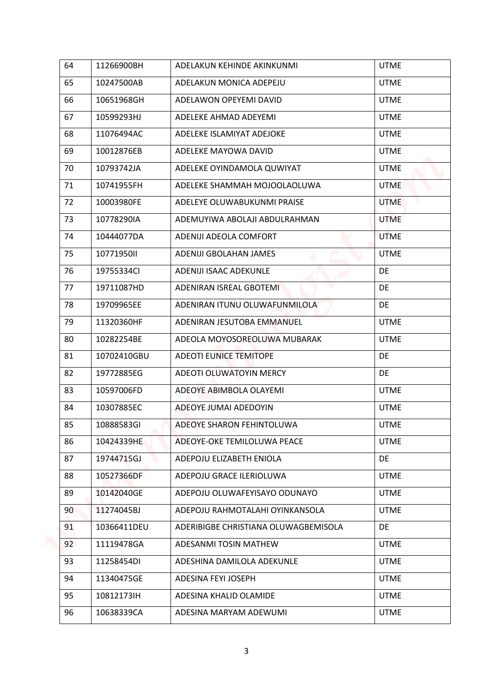| 64 | 11266900BH  | ADELAKUN KEHINDE AKINKUNMI           | <b>UTME</b> |
|----|-------------|--------------------------------------|-------------|
| 65 | 10247500AB  | ADELAKUN MONICA ADEPEJU              | <b>UTME</b> |
| 66 | 10651968GH  | ADELAWON OPEYEMI DAVID               | <b>UTME</b> |
| 67 | 10599293HJ  | ADELEKE AHMAD ADEYEMI                | <b>UTME</b> |
| 68 | 11076494AC  | ADELEKE ISLAMIYAT ADEJOKE            | <b>UTME</b> |
| 69 | 10012876EB  | ADELEKE MAYOWA DAVID                 | <b>UTME</b> |
| 70 | 10793742JA  | ADELEKE OYINDAMOLA QUWIYAT           | <b>UTME</b> |
| 71 | 10741955FH  | ADELEKE SHAMMAH MOJOOLAOLUWA         | <b>UTME</b> |
| 72 | 10003980FE  | ADELEYE OLUWABUKUNMI PRAISE          | <b>UTME</b> |
| 73 | 10778290IA  | ADEMUYIWA ABOLAJI ABDULRAHMAN        | <b>UTME</b> |
| 74 | 10444077DA  | ADENIJI ADEOLA COMFORT               | <b>UTME</b> |
| 75 | 10771950II  | ADENIJI GBOLAHAN JAMES               | <b>UTME</b> |
| 76 | 19755334Cl  | ADENIJI ISAAC ADEKUNLE               | DE          |
| 77 | 19711087HD  | ADENIRAN ISREAL GBOTEMI              | DE          |
| 78 | 19709965EE  | ADENIRAN ITUNU OLUWAFUNMILOLA        | DE          |
| 79 | 11320360HF  | ADENIRAN JESUTOBA EMMANUEL           | <b>UTME</b> |
| 80 | 10282254BE  | ADEOLA MOYOSOREOLUWA MUBARAK         | <b>UTME</b> |
| 81 | 10702410GBU | <b>ADEOTI EUNICE TEMITOPE</b>        | DE          |
| 82 | 19772885EG  | ADEOTI OLUWATOYIN MERCY              | DE          |
| 83 | 10597006FD  | ADEOYE ABIMBOLA OLAYEMI              | <b>UTME</b> |
| 84 | 10307885EC  | ADEOYE JUMAI ADEDOYIN                | <b>UTME</b> |
| 85 | 10888583GI  | ADEOYE SHARON FEHINTOLUWA            | <b>UTME</b> |
| 86 | 10424339HE  | ADEOYE-OKE TEMILOLUWA PEACE          | <b>UTME</b> |
| 87 | 19744715GJ  | ADEPOJU ELIZABETH ENIOLA             | <b>DE</b>   |
| 88 | 10527366DF  | ADEPOJU GRACE ILERIOLUWA             | <b>UTME</b> |
| 89 | 10142040GE  | ADEPOJU OLUWAFEYISAYO ODUNAYO        | <b>UTME</b> |
| 90 | 11274045BJ  | ADEPOJU RAHMOTALAHI OYINKANSOLA      | <b>UTME</b> |
| 91 | 10366411DEU | ADERIBIGBE CHRISTIANA OLUWAGBEMISOLA | DE          |
| 92 | 11119478GA  | ADESANMI TOSIN MATHEW                | <b>UTME</b> |
| 93 | 11258454DI  | ADESHINA DAMILOLA ADEKUNLE           | <b>UTME</b> |
| 94 | 11340475GE  | ADESINA FEYI JOSEPH                  | <b>UTME</b> |
| 95 | 10812173IH  | ADESINA KHALID OLAMIDE               | <b>UTME</b> |
| 96 | 10638339CA  | ADESINA MARYAM ADEWUMI               | <b>UTME</b> |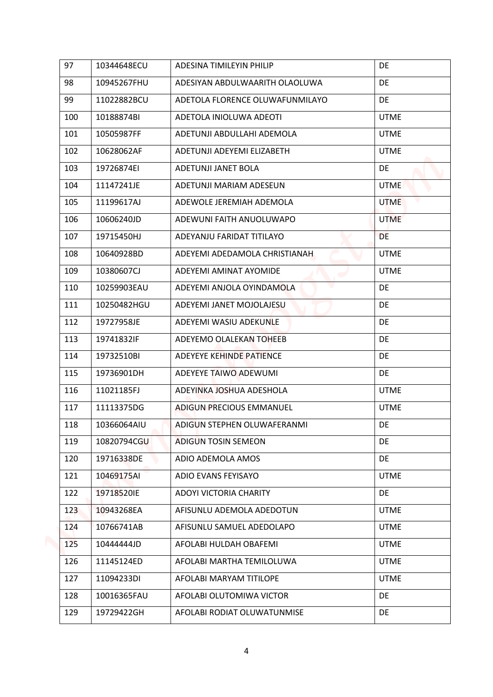| 97  | 10344648ECU | ADESINA TIMILEYIN PHILIP        | DE          |
|-----|-------------|---------------------------------|-------------|
| 98  | 10945267FHU | ADESIYAN ABDULWAARITH OLAOLUWA  | DE          |
| 99  | 11022882BCU | ADETOLA FLORENCE OLUWAFUNMILAYO | DE          |
| 100 | 10188874BI  | ADETOLA INIOLUWA ADEOTI         | <b>UTME</b> |
| 101 | 10505987FF  | ADETUNJI ABDULLAHI ADEMOLA      | <b>UTME</b> |
| 102 | 10628062AF  | ADETUNJI ADEYEMI ELIZABETH      | <b>UTME</b> |
| 103 | 19726874EI  | ADETUNJI JANET BOLA             | DE          |
| 104 | 11147241JE  | ADETUNJI MARIAM ADESEUN         | <b>UTME</b> |
| 105 | 11199617AJ  | ADEWOLE JEREMIAH ADEMOLA        | <b>UTME</b> |
| 106 | 10606240JD  | ADEWUNI FAITH ANUOLUWAPO        | <b>UTME</b> |
| 107 | 19715450HJ  | ADEYANJU FARIDAT TITILAYO       | <b>DE</b>   |
| 108 | 10640928BD  | ADEYEMI ADEDAMOLA CHRISTIANAH   | <b>UTME</b> |
| 109 | 10380607CJ  | ADEYEMI AMINAT AYOMIDE          | <b>UTME</b> |
| 110 | 10259903EAU | ADEYEMI ANJOLA OYINDAMOLA       | DE          |
| 111 | 10250482HGU | ADEYEMI JANET MOJOLAJESU        | DE          |
| 112 | 19727958JE  | ADEYEMI WASIU ADEKUNLE          | DE          |
| 113 | 19741832IF  | ADEYEMO OLALEKAN TOHEEB         | <b>DE</b>   |
| 114 | 19732510BI  | ADEYEYE KEHINDE PATIENCE        | DE          |
| 115 | 19736901DH  | ADEYEYE TAIWO ADEWUMI           | DE          |
| 116 | 11021185FJ  | ADEYINKA JOSHUA ADESHOLA        | <b>UTME</b> |
| 117 | 11113375DG  | ADIGUN PRECIOUS EMMANUEL        | <b>UTME</b> |
| 118 | 10366064AIU | ADIGUN STEPHEN OLUWAFERANMI     | DE          |
| 119 | 10820794CGU | ADIGUN TOSIN SEMEON             | DE          |
| 120 | 19716338DE  | ADIO ADEMOLA AMOS               | DE          |
| 121 | 10469175AI  | ADIO EVANS FEYISAYO             | <b>UTME</b> |
| 122 | 19718520IE  | <b>ADOYI VICTORIA CHARITY</b>   | DE          |
| 123 | 10943268EA  | AFISUNLU ADEMOLA ADEDOTUN       | <b>UTME</b> |
| 124 | 10766741AB  | AFISUNLU SAMUEL ADEDOLAPO       | <b>UTME</b> |
| 125 | 10444444JD  | AFOLABI HULDAH OBAFEMI          | <b>UTME</b> |
| 126 | 11145124ED  | AFOLABI MARTHA TEMILOLUWA       | <b>UTME</b> |
| 127 | 11094233DI  | AFOLABI MARYAM TITILOPE         | <b>UTME</b> |
| 128 | 10016365FAU | AFOLABI OLUTOMIWA VICTOR        | DE          |
| 129 | 19729422GH  | AFOLABI RODIAT OLUWATUNMISE     | DE          |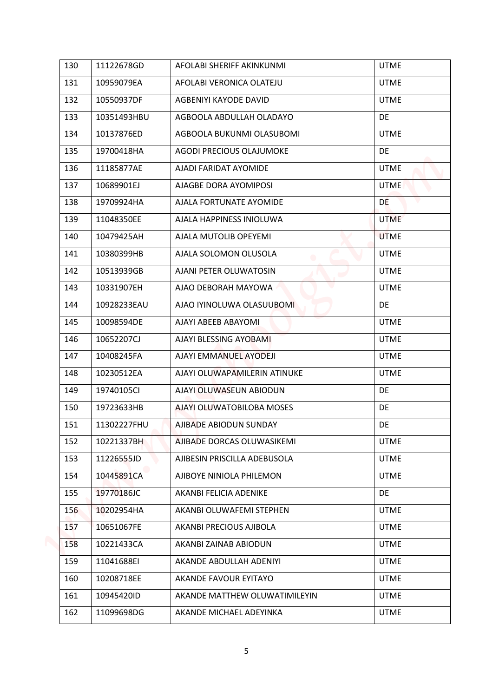| 130 | 11122678GD  | AFOLABI SHERIFF AKINKUNMI     | <b>UTME</b> |
|-----|-------------|-------------------------------|-------------|
| 131 | 10959079EA  | AFOLABI VERONICA OLATEJU      | <b>UTME</b> |
| 132 | 10550937DF  | AGBENIYI KAYODE DAVID         | <b>UTME</b> |
| 133 | 10351493HBU | AGBOOLA ABDULLAH OLADAYO      | <b>DE</b>   |
| 134 | 10137876ED  | AGBOOLA BUKUNMI OLASUBOMI     | <b>UTME</b> |
| 135 | 19700418HA  | AGODI PRECIOUS OLAJUMOKE      | <b>DE</b>   |
| 136 | 11185877AE  | AJADI FARIDAT AYOMIDE         | <b>UTME</b> |
| 137 | 10689901EJ  | AJAGBE DORA AYOMIPOSI         | <b>UTME</b> |
| 138 | 19709924HA  | AJALA FORTUNATE AYOMIDE       | DE          |
| 139 | 11048350EE  | AJALA HAPPINESS INIOLUWA      | <b>UTME</b> |
| 140 | 10479425AH  | AJALA MUTOLIB OPEYEMI         | <b>UTME</b> |
| 141 | 10380399HB  | AJALA SOLOMON OLUSOLA         | <b>UTME</b> |
| 142 | 10513939GB  | AJANI PETER OLUWATOSIN        | <b>UTME</b> |
| 143 | 10331907EH  | AJAO DEBORAH MAYOWA           | <b>UTME</b> |
| 144 | 10928233EAU | AJAO IYINOLUWA OLASUUBOMI     | DE          |
| 145 | 10098594DE  | AJAYI ABEEB ABAYOMI           | <b>UTME</b> |
| 146 | 10652207CJ  | AJAYI BLESSING AYOBAMI        | <b>UTME</b> |
| 147 | 10408245FA  | AJAYI EMMANUEL AYODEJI        | <b>UTME</b> |
| 148 | 10230512EA  | AJAYI OLUWAPAMILERIN ATINUKE  | <b>UTME</b> |
| 149 | 19740105CI  | AJAYI OLUWASEUN ABIODUN       | DE          |
| 150 | 19723633HB  | AJAYI OLUWATOBILOBA MOSES     | DE          |
| 151 | 11302227FHU | AJIBADE ABIODUN SUNDAY        | <b>DE</b>   |
| 152 | 10221337BH  | AJIBADE DORCAS OLUWASIKEMI    | <b>UTME</b> |
| 153 | 11226555JD  | AJIBESIN PRISCILLA ADEBUSOLA  | <b>UTME</b> |
| 154 | 10445891CA  | AJIBOYE NINIOLA PHILEMON      | <b>UTME</b> |
| 155 | 19770186JC  | AKANBI FELICIA ADENIKE        | DE.         |
| 156 | 10202954HA  | AKANBI OLUWAFEMI STEPHEN      | <b>UTME</b> |
| 157 | 10651067FE  | AKANBI PRECIOUS AJIBOLA       | <b>UTME</b> |
| 158 | 10221433CA  | AKANBI ZAINAB ABIODUN         | <b>UTME</b> |
| 159 | 11041688EI  | AKANDE ABDULLAH ADENIYI       | <b>UTME</b> |
| 160 | 10208718EE  | AKANDE FAVOUR EYITAYO         | <b>UTME</b> |
| 161 | 10945420ID  | AKANDE MATTHEW OLUWATIMILEYIN | <b>UTME</b> |
| 162 | 11099698DG  | AKANDE MICHAEL ADEYINKA       | <b>UTME</b> |
|     |             |                               |             |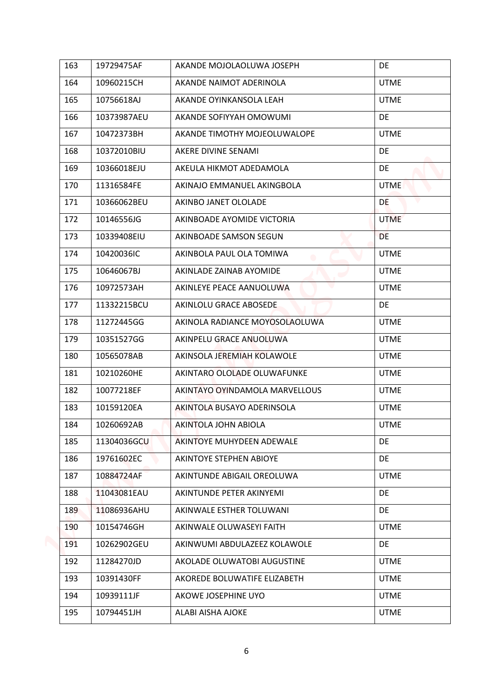| 163 | 19729475AF  | AKANDE MOJOLAOLUWA JOSEPH      | DE          |
|-----|-------------|--------------------------------|-------------|
| 164 | 10960215CH  | AKANDE NAIMOT ADERINOLA        | <b>UTME</b> |
| 165 | 10756618AJ  | AKANDE OYINKANSOLA LEAH        | <b>UTME</b> |
| 166 | 10373987AEU | AKANDE SOFIYYAH OMOWUMI        | DE          |
| 167 | 10472373BH  | AKANDE TIMOTHY MOJEOLUWALOPE   | <b>UTME</b> |
| 168 | 10372010BIU | AKERE DIVINE SENAMI            | DE          |
| 169 | 10366018EJU | AKEULA HIKMOT ADEDAMOLA        | DE          |
| 170 | 11316584FE  | AKINAJO EMMANUEL AKINGBOLA     | <b>UTME</b> |
| 171 | 10366062BEU | AKINBO JANET OLOLADE           | DE          |
| 172 | 10146556JG  | AKINBOADE AYOMIDE VICTORIA     | <b>UTME</b> |
| 173 | 10339408EIU | AKINBOADE SAMSON SEGUN         | DE          |
| 174 | 10420036IC  | AKINBOLA PAUL OLA TOMIWA       | <b>UTME</b> |
| 175 | 10646067BJ  | AKINLADE ZAINAB AYOMIDE        | <b>UTME</b> |
| 176 | 10972573AH  | AKINLEYE PEACE AANUOLUWA       | <b>UTME</b> |
| 177 | 11332215BCU | AKINLOLU GRACE ABOSEDE         | DE          |
| 178 | 11272445GG  | AKINOLA RADIANCE MOYOSOLAOLUWA | <b>UTME</b> |
| 179 | 10351527GG  | AKINPELU GRACE ANUOLUWA        | <b>UTME</b> |
| 180 | 10565078AB  | AKINSOLA JEREMIAH KOLAWOLE     | <b>UTME</b> |
| 181 | 10210260HE  | AKINTARO OLOLADE OLUWAFUNKE    | <b>UTME</b> |
| 182 | 10077218EF  | AKINTAYO OYINDAMOLA MARVELLOUS | <b>UTME</b> |
| 183 | 10159120EA  | AKINTOLA BUSAYO ADERINSOLA     | <b>UTME</b> |
| 184 | 10260692AB  | AKINTOLA JOHN ABIOLA           | <b>UTME</b> |
| 185 | 11304036GCU | AKINTOYE MUHYDEEN ADEWALE      | DE          |
| 186 | 19761602EC  | AKINTOYE STEPHEN ABIOYE        | DE          |
| 187 | 10884724AF  | AKINTUNDE ABIGAIL OREOLUWA     | <b>UTME</b> |
| 188 | 11043081EAU | AKINTUNDE PETER AKINYEMI       | <b>DE</b>   |
| 189 | 11086936AHU | AKINWALE ESTHER TOLUWANI       | DE          |
| 190 | 10154746GH  | AKINWALE OLUWASEYI FAITH       | <b>UTME</b> |
| 191 | 10262902GEU | AKINWUMI ABDULAZEEZ KOLAWOLE   | DE          |
| 192 | 11284270JD  | AKOLADE OLUWATOBI AUGUSTINE    | <b>UTME</b> |
| 193 | 10391430FF  | AKOREDE BOLUWATIFE ELIZABETH   | <b>UTME</b> |
| 194 | 10939111JF  | AKOWE JOSEPHINE UYO            | <b>UTME</b> |
| 195 | 10794451JH  | ALABI AISHA AJOKE              | <b>UTME</b> |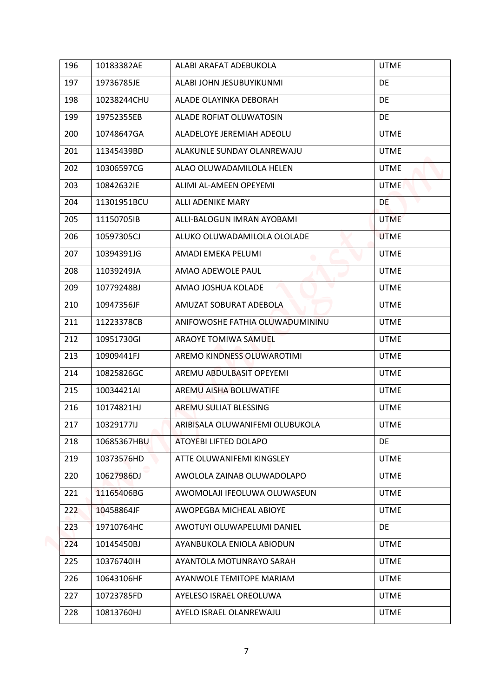| 196 | 10183382AE  | ALABI ARAFAT ADEBUKOLA          | <b>UTME</b> |
|-----|-------------|---------------------------------|-------------|
| 197 | 19736785JE  | ALABI JOHN JESUBUYIKUNMI        | DE          |
| 198 | 10238244CHU | ALADE OLAYINKA DEBORAH          | DE          |
| 199 | 19752355EB  | ALADE ROFIAT OLUWATOSIN         | DE          |
| 200 | 10748647GA  | ALADELOYE JEREMIAH ADEOLU       | <b>UTME</b> |
| 201 | 11345439BD  | ALAKUNLE SUNDAY OLANREWAJU      | <b>UTME</b> |
| 202 | 10306597CG  | ALAO OLUWADAMILOLA HELEN        | <b>UTME</b> |
| 203 | 10842632IE  | ALIMI AL-AMEEN OPEYEMI          | <b>UTME</b> |
| 204 | 11301951BCU | ALLI ADENIKE MARY               | DE          |
| 205 | 11150705IB  | ALLI-BALOGUN IMRAN AYOBAMI      | <b>UTME</b> |
| 206 | 10597305CJ  | ALUKO OLUWADAMILOLA OLOLADE     | <b>UTME</b> |
| 207 | 10394391JG  | AMADI EMEKA PELUMI              | <b>UTME</b> |
| 208 | 11039249JA  | AMAO ADEWOLE PAUL               | <b>UTME</b> |
| 209 | 10779248BJ  | AMAO JOSHUA KOLADE              | <b>UTME</b> |
| 210 | 10947356JF  | AMUZAT SOBURAT ADEBOLA          | <b>UTME</b> |
| 211 | 11223378CB  | ANIFOWOSHE FATHIA OLUWADUMININU | <b>UTME</b> |
| 212 | 10951730GI  | ARAOYE TOMIWA SAMUEL            | <b>UTME</b> |
| 213 | 10909441FJ  | AREMO KINDNESS OLUWAROTIMI      | <b>UTME</b> |
| 214 | 10825826GC  | AREMU ABDULBASIT OPEYEMI        | <b>UTME</b> |
| 215 | 10034421AI  | AREMU AISHA BOLUWATIFE          | <b>UTME</b> |
| 216 | 10174821HJ  | AREMU SULIAT BLESSING           | <b>UTME</b> |
| 217 | 10329177IJ  | ARIBISALA OLUWANIFEMI OLUBUKOLA | <b>UTME</b> |
| 218 | 10685367HBU | ATOYEBI LIFTED DOLAPO           | DE          |
| 219 | 10373576HD  | ATTE OLUWANIFEMI KINGSLEY       | <b>UTME</b> |
| 220 | 10627986DJ  | AWOLOLA ZAINAB OLUWADOLAPO      | <b>UTME</b> |
| 221 | 11165406BG  | AWOMOLAJI IFEOLUWA OLUWASEUN    | <b>UTME</b> |
| 222 | 10458864JF  | AWOPEGBA MICHEAL ABIOYE         | <b>UTME</b> |
| 223 | 19710764HC  | AWOTUYI OLUWAPELUMI DANIEL      | DE          |
| 224 | 10145450BJ  | AYANBUKOLA ENIOLA ABIODUN       | <b>UTME</b> |
| 225 | 10376740IH  | AYANTOLA MOTUNRAYO SARAH        | <b>UTME</b> |
| 226 | 10643106HF  | AYANWOLE TEMITOPE MARIAM        | <b>UTME</b> |
| 227 | 10723785FD  | AYELESO ISRAEL OREOLUWA         | <b>UTME</b> |
| 228 | 10813760HJ  | AYELO ISRAEL OLANREWAJU         | <b>UTME</b> |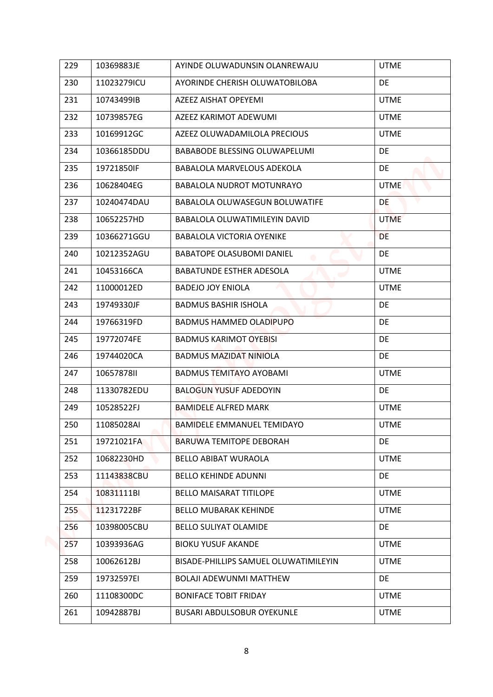| 229 | 10369883JE  | AYINDE OLUWADUNSIN OLANREWAJU         | <b>UTME</b> |
|-----|-------------|---------------------------------------|-------------|
| 230 | 11023279ICU | AYORINDE CHERISH OLUWATOBILOBA        | DE          |
| 231 | 10743499IB  | <b>AZEEZ AISHAT OPEYEMI</b>           | <b>UTME</b> |
| 232 | 10739857EG  | <b>AZEEZ KARIMOT ADEWUMI</b>          | <b>UTME</b> |
| 233 | 10169912GC  | AZEEZ OLUWADAMILOLA PRECIOUS          | <b>UTME</b> |
| 234 | 10366185DDU | <b>BABABODE BLESSING OLUWAPELUMI</b>  | DE          |
| 235 | 19721850IF  | BABALOLA MARVELOUS ADEKOLA            | DE          |
| 236 | 10628404EG  | BABALOLA NUDROT MOTUNRAYO             | <b>UTME</b> |
| 237 | 10240474DAU | <b>BABALOLA OLUWASEGUN BOLUWATIFE</b> | <b>DE</b>   |
| 238 | 10652257HD  | BABALOLA OLUWATIMILEYIN DAVID         | <b>UTME</b> |
| 239 | 10366271GGU | <b>BABALOLA VICTORIA OYENIKE</b>      | <b>DE</b>   |
| 240 | 10212352AGU | <b>BABATOPE OLASUBOMI DANIEL</b>      | DE          |
| 241 | 10453166CA  | <b>BABATUNDE ESTHER ADESOLA</b>       | <b>UTME</b> |
| 242 | 11000012ED  | <b>BADEJO JOY ENIOLA</b>              | <b>UTME</b> |
| 243 | 19749330JF  | <b>BADMUS BASHIR ISHOLA</b>           | DE          |
| 244 | 19766319FD  | <b>BADMUS HAMMED OLADIPUPO</b>        | DE          |
| 245 | 19772074FE  | <b>BADMUS KARIMOT OYEBISI</b>         | DE          |
| 246 | 19744020CA  | <b>BADMUS MAZIDAT NINIOLA</b>         | DE          |
| 247 | 1065787811  | <b>BADMUS TEMITAYO AYOBAMI</b>        | <b>UTME</b> |
| 248 | 11330782EDU | <b>BALOGUN YUSUF ADEDOYIN</b>         | DE          |
| 249 | 10528522FJ  | <b>BAMIDELE ALFRED MARK</b>           | <b>UTME</b> |
| 250 | 11085028AI  | <b>BAMIDELE EMMANUEL TEMIDAYO</b>     | <b>UTME</b> |
| 251 | 19721021FA  | <b>BARUWA TEMITOPE DEBORAH</b>        | DE          |
| 252 | 10682230HD  | <b>BELLO ABIBAT WURAOLA</b>           | <b>UTME</b> |
| 253 | 11143838CBU | <b>BELLO KEHINDE ADUNNI</b>           | <b>DE</b>   |
| 254 | 10831111BI  | BELLO MAISARAT TITILOPE               | <b>UTME</b> |
| 255 | 11231722BF  | <b>BELLO MUBARAK KEHINDE</b>          | <b>UTME</b> |
| 256 | 10398005CBU | BELLO SULIYAT OLAMIDE                 | DE          |
| 257 | 10393936AG  | <b>BIOKU YUSUF AKANDE</b>             | <b>UTME</b> |
| 258 | 10062612BJ  | BISADE-PHILLIPS SAMUEL OLUWATIMILEYIN | <b>UTME</b> |
| 259 | 19732597EI  | <b>BOLAJI ADEWUNMI MATTHEW</b>        | <b>DE</b>   |
| 260 | 11108300DC  | <b>BONIFACE TOBIT FRIDAY</b>          | <b>UTME</b> |
| 261 | 10942887BJ  | <b>BUSARI ABDULSOBUR OYEKUNLE</b>     | <b>UTME</b> |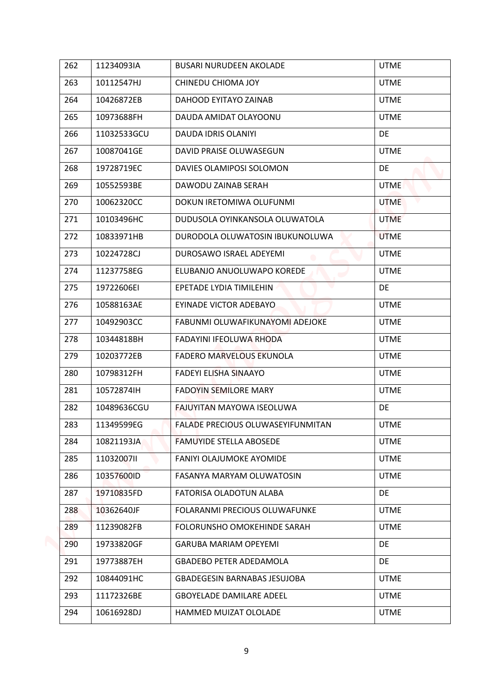| 262 | 11234093IA  | <b>BUSARI NURUDEEN AKOLADE</b>      | <b>UTME</b> |
|-----|-------------|-------------------------------------|-------------|
| 263 | 10112547HJ  | CHINEDU CHIOMA JOY                  | <b>UTME</b> |
| 264 | 10426872EB  | DAHOOD EYITAYO ZAINAB               | <b>UTME</b> |
| 265 | 10973688FH  | DAUDA AMIDAT OLAYOONU               | <b>UTME</b> |
| 266 | 11032533GCU | DAUDA IDRIS OLANIYI                 | DE          |
| 267 | 10087041GE  | DAVID PRAISE OLUWASEGUN             | <b>UTME</b> |
| 268 | 19728719EC  | DAVIES OLAMIPOSI SOLOMON            | DE          |
| 269 | 10552593BE  | DAWODU ZAINAB SERAH                 | <b>UTME</b> |
| 270 | 10062320CC  | DOKUN IRETOMIWA OLUFUNMI            | <b>UTME</b> |
| 271 | 10103496HC  | DUDUSOLA OYINKANSOLA OLUWATOLA      | <b>UTME</b> |
| 272 | 10833971HB  | DURODOLA OLUWATOSIN IBUKUNOLUWA     | <b>UTME</b> |
| 273 | 10224728CJ  | DUROSAWO ISRAEL ADEYEMI             | <b>UTME</b> |
| 274 | 11237758EG  | ELUBANJO ANUOLUWAPO KOREDE          | <b>UTME</b> |
| 275 | 19722606EI  | EPETADE LYDIA TIMILEHIN             | DE          |
| 276 | 10588163AE  | EYINADE VICTOR ADEBAYO              | <b>UTME</b> |
| 277 | 10492903CC  | FABUNMI OLUWAFIKUNAYOMI ADEJOKE     | <b>UTME</b> |
| 278 | 10344818BH  | FADAYINI IFEOLUWA RHODA             | <b>UTME</b> |
| 279 | 10203772EB  | <b>FADERO MARVELOUS EKUNOLA</b>     | <b>UTME</b> |
| 280 | 10798312FH  | FADEYI ELISHA SINAAYO               | <b>UTME</b> |
| 281 | 10572874IH  | <b>FADOYIN SEMILORE MARY</b>        | <b>UTME</b> |
| 282 | 10489636CGU | FAJUYITAN MAYOWA ISEOLUWA           | DE          |
| 283 | 11349599EG  | FALADE PRECIOUS OLUWASEYIFUNMITAN   | <b>UTME</b> |
| 284 | 10821193JA  | FAMUYIDE STELLA ABOSEDE             | <b>UTME</b> |
| 285 | 11032007II  | FANIYI OLAJUMOKE AYOMIDE            | <b>UTME</b> |
| 286 | 10357600ID  | FASANYA MARYAM OLUWATOSIN           | <b>UTME</b> |
| 287 | 19710835FD  | FATORISA OLADOTUN ALABA             | DE          |
| 288 | 10362640JF  | FOLARANMI PRECIOUS OLUWAFUNKE       | <b>UTME</b> |
| 289 | 11239082FB  | FOLORUNSHO OMOKEHINDE SARAH         | <b>UTME</b> |
| 290 | 19733820GF  | <b>GARUBA MARIAM OPEYEMI</b>        | DE          |
| 291 | 19773887EH  | <b>GBADEBO PETER ADEDAMOLA</b>      | DE.         |
| 292 | 10844091HC  | <b>GBADEGESIN BARNABAS JESUJOBA</b> | <b>UTME</b> |
| 293 | 11172326BE  | <b>GBOYELADE DAMILARE ADEEL</b>     | <b>UTME</b> |
| 294 | 10616928DJ  | HAMMED MUIZAT OLOLADE               | <b>UTME</b> |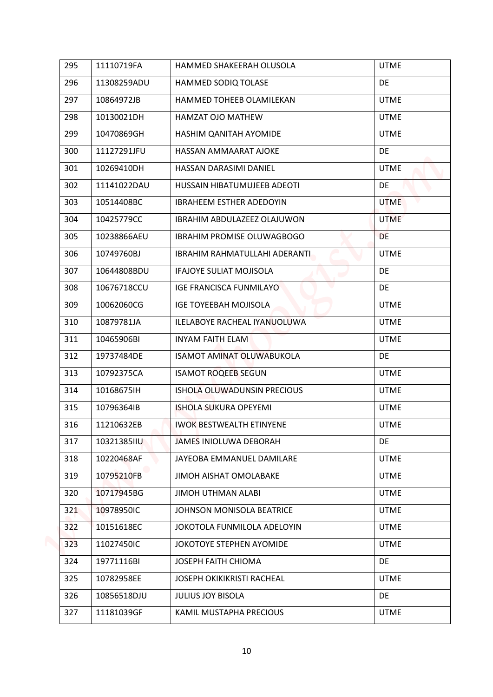| 296<br>11308259ADU<br>HAMMED SODIQ TOLASE<br>DE<br>297<br>10864972JB<br>HAMMED TOHEEB OLAMILEKAN<br><b>UTME</b><br>298<br><b>UTME</b><br>10130021DH<br>HAMZAT OJO MATHEW<br>299<br>10470869GH<br>HASHIM QANITAH AYOMIDE<br><b>UTME</b><br>300<br>11127291JFU<br>HASSAN AMMAARAT AJOKE<br>DE<br>301<br><b>UTME</b><br>10269410DH<br>HASSAN DARASIMI DANIEL<br>302<br>11141022DAU<br>HUSSAIN HIBATUMUJEEB ADEOTI<br>DE<br>303<br>10514408BC<br><b>IBRAHEEM ESTHER ADEDOYIN</b><br><b>UTME</b><br>304<br>10425779CC<br><b>IBRAHIM ABDULAZEEZ OLAJUWON</b><br><b>UTME</b><br>305<br>10238866AEU<br><b>IBRAHIM PROMISE OLUWAGBOGO</b><br>DE<br><b>UTME</b><br>306<br>10749760BJ<br>IBRAHIM RAHMATULLAHI ADERANTI<br>307<br>10644808BDU<br><b>IFAJOYE SULIAT MOJISOLA</b><br>DE<br>308<br>DE<br>10676718CCU<br><b>IGE FRANCISCA FUNMILAYO</b><br>309<br>10062060CG<br><b>IGE TOYEEBAH MOJISOLA</b><br><b>UTME</b><br>310<br>10879781JA<br>ILELABOYE RACHEAL IYANUOLUWA<br><b>UTME</b><br>311<br>10465906BI<br><b>INYAM FAITH ELAM</b><br><b>UTME</b><br>312<br>ISAMOT AMINAT OLUWABUKOLA<br>DE<br>19737484DE<br>313<br><b>UTME</b><br>10792375CA<br><b>ISAMOT ROQEEB SEGUN</b><br>314<br>10168675IH<br><b>ISHOLA OLUWADUNSIN PRECIOUS</b><br><b>UTME</b><br>315<br>10796364IB<br><b>ISHOLA SUKURA OPEYEMI</b><br><b>UTME</b><br>316<br>11210632EB<br><b>UTME</b><br><b>IWOK BESTWEALTH ETINYENE</b><br>317<br>DE<br>10321385IIU<br>JAMES INIOLUWA DEBORAH<br>318<br><b>UTME</b><br>10220468AF<br>JAYEOBA EMMANUEL DAMILARE<br>JIMOH AISHAT OMOLABAKE<br>319<br>10795210FB<br><b>UTME</b><br>320<br>10717945BG<br><b>JIMOH UTHMAN ALABI</b><br><b>UTME</b><br>321<br>10978950IC<br>JOHNSON MONISOLA BEATRICE<br><b>UTME</b><br>322<br>10151618EC<br>JOKOTOLA FUNMILOLA ADELOYIN<br><b>UTME</b><br>323<br>11027450IC<br>JOKOTOYE STEPHEN AYOMIDE<br><b>UTME</b><br>324<br>19771116BI<br>JOSEPH FAITH CHIOMA<br>DE<br>325<br>10782958EE<br><b>JOSEPH OKIKIKRISTI RACHEAL</b><br><b>UTME</b><br>326<br>10856518DJU<br><b>JULIUS JOY BISOLA</b><br>DE<br>327<br>11181039GF<br>KAMIL MUSTAPHA PRECIOUS<br><b>UTME</b> | 295 | 11110719FA | HAMMED SHAKEERAH OLUSOLA | <b>UTME</b> |
|-----------------------------------------------------------------------------------------------------------------------------------------------------------------------------------------------------------------------------------------------------------------------------------------------------------------------------------------------------------------------------------------------------------------------------------------------------------------------------------------------------------------------------------------------------------------------------------------------------------------------------------------------------------------------------------------------------------------------------------------------------------------------------------------------------------------------------------------------------------------------------------------------------------------------------------------------------------------------------------------------------------------------------------------------------------------------------------------------------------------------------------------------------------------------------------------------------------------------------------------------------------------------------------------------------------------------------------------------------------------------------------------------------------------------------------------------------------------------------------------------------------------------------------------------------------------------------------------------------------------------------------------------------------------------------------------------------------------------------------------------------------------------------------------------------------------------------------------------------------------------------------------------------------------------------------------------------------------------------------------------------------------------------------------------------------------------------------------------------------|-----|------------|--------------------------|-------------|
|                                                                                                                                                                                                                                                                                                                                                                                                                                                                                                                                                                                                                                                                                                                                                                                                                                                                                                                                                                                                                                                                                                                                                                                                                                                                                                                                                                                                                                                                                                                                                                                                                                                                                                                                                                                                                                                                                                                                                                                                                                                                                                           |     |            |                          |             |
|                                                                                                                                                                                                                                                                                                                                                                                                                                                                                                                                                                                                                                                                                                                                                                                                                                                                                                                                                                                                                                                                                                                                                                                                                                                                                                                                                                                                                                                                                                                                                                                                                                                                                                                                                                                                                                                                                                                                                                                                                                                                                                           |     |            |                          |             |
|                                                                                                                                                                                                                                                                                                                                                                                                                                                                                                                                                                                                                                                                                                                                                                                                                                                                                                                                                                                                                                                                                                                                                                                                                                                                                                                                                                                                                                                                                                                                                                                                                                                                                                                                                                                                                                                                                                                                                                                                                                                                                                           |     |            |                          |             |
|                                                                                                                                                                                                                                                                                                                                                                                                                                                                                                                                                                                                                                                                                                                                                                                                                                                                                                                                                                                                                                                                                                                                                                                                                                                                                                                                                                                                                                                                                                                                                                                                                                                                                                                                                                                                                                                                                                                                                                                                                                                                                                           |     |            |                          |             |
|                                                                                                                                                                                                                                                                                                                                                                                                                                                                                                                                                                                                                                                                                                                                                                                                                                                                                                                                                                                                                                                                                                                                                                                                                                                                                                                                                                                                                                                                                                                                                                                                                                                                                                                                                                                                                                                                                                                                                                                                                                                                                                           |     |            |                          |             |
|                                                                                                                                                                                                                                                                                                                                                                                                                                                                                                                                                                                                                                                                                                                                                                                                                                                                                                                                                                                                                                                                                                                                                                                                                                                                                                                                                                                                                                                                                                                                                                                                                                                                                                                                                                                                                                                                                                                                                                                                                                                                                                           |     |            |                          |             |
|                                                                                                                                                                                                                                                                                                                                                                                                                                                                                                                                                                                                                                                                                                                                                                                                                                                                                                                                                                                                                                                                                                                                                                                                                                                                                                                                                                                                                                                                                                                                                                                                                                                                                                                                                                                                                                                                                                                                                                                                                                                                                                           |     |            |                          |             |
|                                                                                                                                                                                                                                                                                                                                                                                                                                                                                                                                                                                                                                                                                                                                                                                                                                                                                                                                                                                                                                                                                                                                                                                                                                                                                                                                                                                                                                                                                                                                                                                                                                                                                                                                                                                                                                                                                                                                                                                                                                                                                                           |     |            |                          |             |
|                                                                                                                                                                                                                                                                                                                                                                                                                                                                                                                                                                                                                                                                                                                                                                                                                                                                                                                                                                                                                                                                                                                                                                                                                                                                                                                                                                                                                                                                                                                                                                                                                                                                                                                                                                                                                                                                                                                                                                                                                                                                                                           |     |            |                          |             |
|                                                                                                                                                                                                                                                                                                                                                                                                                                                                                                                                                                                                                                                                                                                                                                                                                                                                                                                                                                                                                                                                                                                                                                                                                                                                                                                                                                                                                                                                                                                                                                                                                                                                                                                                                                                                                                                                                                                                                                                                                                                                                                           |     |            |                          |             |
|                                                                                                                                                                                                                                                                                                                                                                                                                                                                                                                                                                                                                                                                                                                                                                                                                                                                                                                                                                                                                                                                                                                                                                                                                                                                                                                                                                                                                                                                                                                                                                                                                                                                                                                                                                                                                                                                                                                                                                                                                                                                                                           |     |            |                          |             |
|                                                                                                                                                                                                                                                                                                                                                                                                                                                                                                                                                                                                                                                                                                                                                                                                                                                                                                                                                                                                                                                                                                                                                                                                                                                                                                                                                                                                                                                                                                                                                                                                                                                                                                                                                                                                                                                                                                                                                                                                                                                                                                           |     |            |                          |             |
|                                                                                                                                                                                                                                                                                                                                                                                                                                                                                                                                                                                                                                                                                                                                                                                                                                                                                                                                                                                                                                                                                                                                                                                                                                                                                                                                                                                                                                                                                                                                                                                                                                                                                                                                                                                                                                                                                                                                                                                                                                                                                                           |     |            |                          |             |
|                                                                                                                                                                                                                                                                                                                                                                                                                                                                                                                                                                                                                                                                                                                                                                                                                                                                                                                                                                                                                                                                                                                                                                                                                                                                                                                                                                                                                                                                                                                                                                                                                                                                                                                                                                                                                                                                                                                                                                                                                                                                                                           |     |            |                          |             |
|                                                                                                                                                                                                                                                                                                                                                                                                                                                                                                                                                                                                                                                                                                                                                                                                                                                                                                                                                                                                                                                                                                                                                                                                                                                                                                                                                                                                                                                                                                                                                                                                                                                                                                                                                                                                                                                                                                                                                                                                                                                                                                           |     |            |                          |             |
|                                                                                                                                                                                                                                                                                                                                                                                                                                                                                                                                                                                                                                                                                                                                                                                                                                                                                                                                                                                                                                                                                                                                                                                                                                                                                                                                                                                                                                                                                                                                                                                                                                                                                                                                                                                                                                                                                                                                                                                                                                                                                                           |     |            |                          |             |
|                                                                                                                                                                                                                                                                                                                                                                                                                                                                                                                                                                                                                                                                                                                                                                                                                                                                                                                                                                                                                                                                                                                                                                                                                                                                                                                                                                                                                                                                                                                                                                                                                                                                                                                                                                                                                                                                                                                                                                                                                                                                                                           |     |            |                          |             |
|                                                                                                                                                                                                                                                                                                                                                                                                                                                                                                                                                                                                                                                                                                                                                                                                                                                                                                                                                                                                                                                                                                                                                                                                                                                                                                                                                                                                                                                                                                                                                                                                                                                                                                                                                                                                                                                                                                                                                                                                                                                                                                           |     |            |                          |             |
|                                                                                                                                                                                                                                                                                                                                                                                                                                                                                                                                                                                                                                                                                                                                                                                                                                                                                                                                                                                                                                                                                                                                                                                                                                                                                                                                                                                                                                                                                                                                                                                                                                                                                                                                                                                                                                                                                                                                                                                                                                                                                                           |     |            |                          |             |
|                                                                                                                                                                                                                                                                                                                                                                                                                                                                                                                                                                                                                                                                                                                                                                                                                                                                                                                                                                                                                                                                                                                                                                                                                                                                                                                                                                                                                                                                                                                                                                                                                                                                                                                                                                                                                                                                                                                                                                                                                                                                                                           |     |            |                          |             |
|                                                                                                                                                                                                                                                                                                                                                                                                                                                                                                                                                                                                                                                                                                                                                                                                                                                                                                                                                                                                                                                                                                                                                                                                                                                                                                                                                                                                                                                                                                                                                                                                                                                                                                                                                                                                                                                                                                                                                                                                                                                                                                           |     |            |                          |             |
|                                                                                                                                                                                                                                                                                                                                                                                                                                                                                                                                                                                                                                                                                                                                                                                                                                                                                                                                                                                                                                                                                                                                                                                                                                                                                                                                                                                                                                                                                                                                                                                                                                                                                                                                                                                                                                                                                                                                                                                                                                                                                                           |     |            |                          |             |
|                                                                                                                                                                                                                                                                                                                                                                                                                                                                                                                                                                                                                                                                                                                                                                                                                                                                                                                                                                                                                                                                                                                                                                                                                                                                                                                                                                                                                                                                                                                                                                                                                                                                                                                                                                                                                                                                                                                                                                                                                                                                                                           |     |            |                          |             |
|                                                                                                                                                                                                                                                                                                                                                                                                                                                                                                                                                                                                                                                                                                                                                                                                                                                                                                                                                                                                                                                                                                                                                                                                                                                                                                                                                                                                                                                                                                                                                                                                                                                                                                                                                                                                                                                                                                                                                                                                                                                                                                           |     |            |                          |             |
|                                                                                                                                                                                                                                                                                                                                                                                                                                                                                                                                                                                                                                                                                                                                                                                                                                                                                                                                                                                                                                                                                                                                                                                                                                                                                                                                                                                                                                                                                                                                                                                                                                                                                                                                                                                                                                                                                                                                                                                                                                                                                                           |     |            |                          |             |
|                                                                                                                                                                                                                                                                                                                                                                                                                                                                                                                                                                                                                                                                                                                                                                                                                                                                                                                                                                                                                                                                                                                                                                                                                                                                                                                                                                                                                                                                                                                                                                                                                                                                                                                                                                                                                                                                                                                                                                                                                                                                                                           |     |            |                          |             |
|                                                                                                                                                                                                                                                                                                                                                                                                                                                                                                                                                                                                                                                                                                                                                                                                                                                                                                                                                                                                                                                                                                                                                                                                                                                                                                                                                                                                                                                                                                                                                                                                                                                                                                                                                                                                                                                                                                                                                                                                                                                                                                           |     |            |                          |             |
|                                                                                                                                                                                                                                                                                                                                                                                                                                                                                                                                                                                                                                                                                                                                                                                                                                                                                                                                                                                                                                                                                                                                                                                                                                                                                                                                                                                                                                                                                                                                                                                                                                                                                                                                                                                                                                                                                                                                                                                                                                                                                                           |     |            |                          |             |
|                                                                                                                                                                                                                                                                                                                                                                                                                                                                                                                                                                                                                                                                                                                                                                                                                                                                                                                                                                                                                                                                                                                                                                                                                                                                                                                                                                                                                                                                                                                                                                                                                                                                                                                                                                                                                                                                                                                                                                                                                                                                                                           |     |            |                          |             |
|                                                                                                                                                                                                                                                                                                                                                                                                                                                                                                                                                                                                                                                                                                                                                                                                                                                                                                                                                                                                                                                                                                                                                                                                                                                                                                                                                                                                                                                                                                                                                                                                                                                                                                                                                                                                                                                                                                                                                                                                                                                                                                           |     |            |                          |             |
|                                                                                                                                                                                                                                                                                                                                                                                                                                                                                                                                                                                                                                                                                                                                                                                                                                                                                                                                                                                                                                                                                                                                                                                                                                                                                                                                                                                                                                                                                                                                                                                                                                                                                                                                                                                                                                                                                                                                                                                                                                                                                                           |     |            |                          |             |
|                                                                                                                                                                                                                                                                                                                                                                                                                                                                                                                                                                                                                                                                                                                                                                                                                                                                                                                                                                                                                                                                                                                                                                                                                                                                                                                                                                                                                                                                                                                                                                                                                                                                                                                                                                                                                                                                                                                                                                                                                                                                                                           |     |            |                          |             |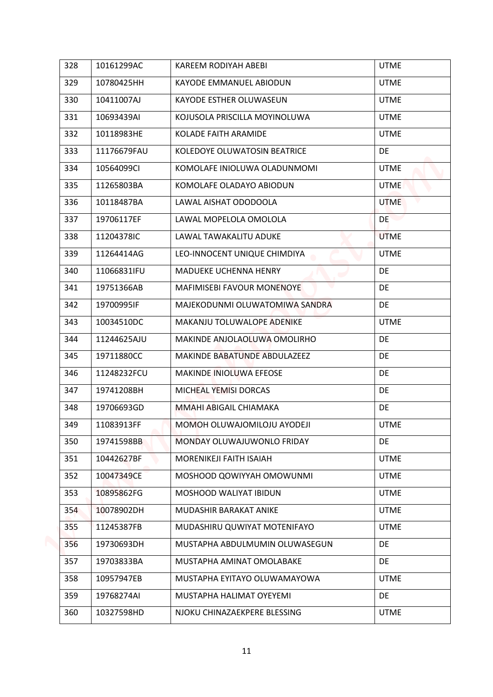| 328 | 10161299AC  | KAREEM RODIYAH ABEBI           | <b>UTME</b> |
|-----|-------------|--------------------------------|-------------|
| 329 | 10780425HH  | KAYODE EMMANUEL ABIODUN        | <b>UTME</b> |
| 330 | 10411007AJ  | KAYODE ESTHER OLUWASEUN        | <b>UTME</b> |
| 331 | 10693439AI  | KOJUSOLA PRISCILLA MOYINOLUWA  | <b>UTME</b> |
| 332 | 10118983HE  | KOLADE FAITH ARAMIDE           | <b>UTME</b> |
| 333 | 11176679FAU | KOLEDOYE OLUWATOSIN BEATRICE   | DE          |
| 334 | 10564099CI  | KOMOLAFE INIOLUWA OLADUNMOMI   | <b>UTME</b> |
| 335 | 11265803BA  | KOMOLAFE OLADAYO ABIODUN       | <b>UTME</b> |
| 336 | 10118487BA  | LAWAL AISHAT ODODOOLA          | <b>UTME</b> |
| 337 | 19706117EF  | LAWAL MOPELOLA OMOLOLA         | DE          |
| 338 | 11204378IC  | LAWAL TAWAKALITU ADUKE         | <b>UTME</b> |
| 339 | 11264414AG  | LEO-INNOCENT UNIQUE CHIMDIYA   | <b>UTME</b> |
| 340 | 11066831IFU | <b>MADUEKE UCHENNA HENRY</b>   | DE          |
| 341 | 19751366AB  | MAFIMISEBI FAVOUR MONENOYE     | <b>DE</b>   |
| 342 | 19700995IF  | MAJEKODUNMI OLUWATOMIWA SANDRA | DE          |
| 343 | 10034510DC  | MAKANJU TOLUWALOPE ADENIKE     | <b>UTME</b> |
| 344 | 11244625AJU | MAKINDE ANJOLAOLUWA OMOLIRHO   | <b>DE</b>   |
| 345 | 19711880CC  | MAKINDE BABATUNDE ABDULAZEEZ   | DE          |
| 346 | 11248232FCU | <b>MAKINDE INIOLUWA EFEOSE</b> | DE          |
| 347 | 19741208BH  | MICHEAL YEMISI DORCAS          | DE          |
| 348 | 19706693GD  | MMAHI ABIGAIL CHIAMAKA         | DE          |
| 349 | 11083913FF  | MOMOH OLUWAJOMILOJU AYODEJI    | <b>UTME</b> |
| 350 | 19741598BB  | MONDAY OLUWAJUWONLO FRIDAY     | DE          |
| 351 | 10442627BF  | <b>MORENIKEJI FAITH ISAIAH</b> | <b>UTME</b> |
| 352 | 10047349CE  | MOSHOOD QOWIYYAH OMOWUNMI      | <b>UTME</b> |
| 353 | 10895862FG  | MOSHOOD WALIYAT IBIDUN         | <b>UTME</b> |
| 354 | 10078902DH  | MUDASHIR BARAKAT ANIKE         | <b>UTME</b> |
| 355 | 11245387FB  | MUDASHIRU QUWIYAT MOTENIFAYO   | <b>UTME</b> |
| 356 | 19730693DH  | MUSTAPHA ABDULMUMIN OLUWASEGUN | DE          |
| 357 | 19703833BA  | MUSTAPHA AMINAT OMOLABAKE      | DE          |
| 358 | 10957947EB  | MUSTAPHA EYITAYO OLUWAMAYOWA   | <b>UTME</b> |
| 359 | 19768274AI  | MUSTAPHA HALIMAT OYEYEMI       | DE          |
| 360 | 10327598HD  | NJOKU CHINAZAEKPERE BLESSING   | <b>UTME</b> |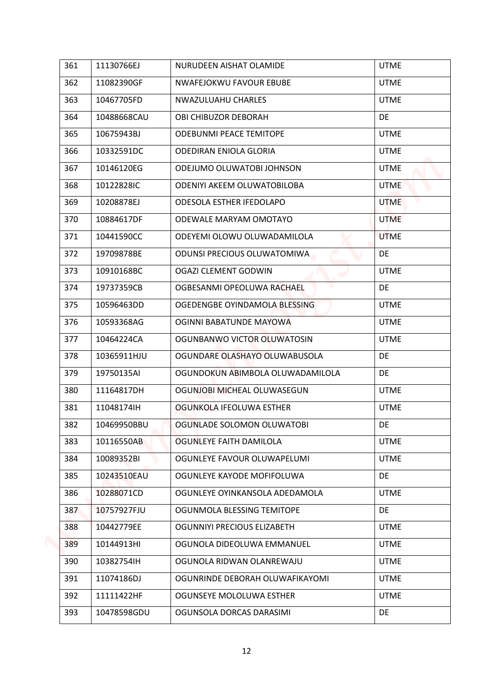| 361 | 11130766EJ  | NURUDEEN AISHAT OLAMIDE          | <b>UTME</b> |
|-----|-------------|----------------------------------|-------------|
| 362 | 11082390GF  | NWAFEJOKWU FAVOUR EBUBE          | <b>UTME</b> |
| 363 | 10467705FD  | NWAZULUAHU CHARLES               | <b>UTME</b> |
| 364 | 10488668CAU | OBI CHIBUZOR DEBORAH             | DE          |
| 365 | 10675943BJ  | <b>ODEBUNMI PEACE TEMITOPE</b>   | <b>UTME</b> |
| 366 | 10332591DC  | <b>ODEDIRAN ENIOLA GLORIA</b>    | <b>UTME</b> |
| 367 | 10146120EG  | ODEJUMO OLUWATOBI JOHNSON        | <b>UTME</b> |
| 368 | 10122828IC  | ODENIYI AKEEM OLUWATOBILOBA      | <b>UTME</b> |
| 369 | 10208878EJ  | ODESOLA ESTHER IFEDOLAPO         | <b>UTME</b> |
| 370 | 10884617DF  | ODEWALE MARYAM OMOTAYO           | <b>UTME</b> |
| 371 | 10441590CC  | ODEYEMI OLOWU OLUWADAMILOLA      | <b>UTME</b> |
| 372 | 19709878BE  | ODUNSI PRECIOUS OLUWATOMIWA      | DE          |
| 373 | 10910168BC  | OGAZI CLEMENT GODWIN             | <b>UTME</b> |
| 374 | 19737359CB  | OGBESANMI OPEOLUWA RACHAEL       | DE          |
| 375 | 10596463DD  | OGEDENGBE OYINDAMOLA BLESSING    | <b>UTME</b> |
| 376 | 10593368AG  | OGINNI BABATUNDE MAYOWA          | <b>UTME</b> |
| 377 | 10464224CA  | OGUNBANWO VICTOR OLUWATOSIN      | <b>UTME</b> |
| 378 | 10365911HJU | OGUNDARE OLASHAYO OLUWABUSOLA    | DE          |
| 379 | 19750135AI  | OGUNDOKUN ABIMBOLA OLUWADAMILOLA | DE          |
| 380 | 11164817DH  | OGUNJOBI MICHEAL OLUWASEGUN      | <b>UTME</b> |
| 381 | 11048174lH  | OGUNKOLA IFEOLUWA ESTHER         | <b>UTME</b> |
| 382 | 10469950BBU | OGUNLADE SOLOMON OLUWATOBI       | DE          |
| 383 | 10116550AB  | OGUNLEYE FAITH DAMILOLA          | <b>UTME</b> |
| 384 | 10089352BI  | OGUNLEYE FAVOUR OLUWAPELUMI      | <b>UTME</b> |
| 385 | 10243510EAU | OGUNLEYE KAYODE MOFIFOLUWA       | DE          |
| 386 | 10288071CD  | OGUNLEYE OYINKANSOLA ADEDAMOLA   | <b>UTME</b> |
| 387 | 10757927FJU | OGUNMOLA BLESSING TEMITOPE       | DE          |
| 388 | 10442779EE  | OGUNNIYI PRECIOUS ELIZABETH      | <b>UTME</b> |
| 389 | 10144913HI  | OGUNOLA DIDEOLUWA EMMANUEL       | <b>UTME</b> |
| 390 | 10382754IH  | OGUNOLA RIDWAN OLANREWAJU        | <b>UTME</b> |
| 391 | 11074186DJ  | OGUNRINDE DEBORAH OLUWAFIKAYOMI  | <b>UTME</b> |
| 392 | 11111422HF  | OGUNSEYE MOLOLUWA ESTHER         | <b>UTME</b> |
| 393 | 10478598GDU | OGUNSOLA DORCAS DARASIMI         | DE          |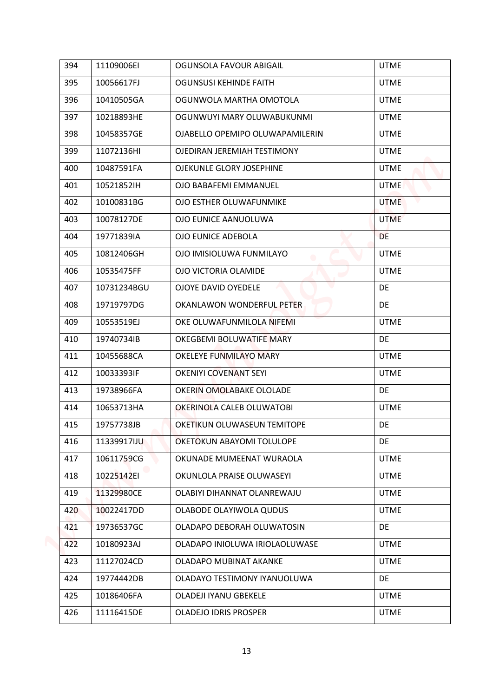| 394 | 11109006EI  | OGUNSOLA FAVOUR ABIGAIL         | <b>UTME</b> |
|-----|-------------|---------------------------------|-------------|
| 395 | 10056617FJ  | <b>OGUNSUSI KEHINDE FAITH</b>   | <b>UTME</b> |
| 396 | 10410505GA  | OGUNWOLA MARTHA OMOTOLA         | <b>UTME</b> |
| 397 | 10218893HE  | OGUNWUYI MARY OLUWABUKUNMI      | <b>UTME</b> |
| 398 | 10458357GE  | OJABELLO OPEMIPO OLUWAPAMILERIN | <b>UTME</b> |
| 399 | 11072136HI  | OJEDIRAN JEREMIAH TESTIMONY     | <b>UTME</b> |
| 400 | 10487591FA  | OJEKUNLE GLORY JOSEPHINE        | <b>UTME</b> |
| 401 | 10521852IH  | OJO BABAFEMI EMMANUEL           | <b>UTME</b> |
| 402 | 10100831BG  | OJO ESTHER OLUWAFUNMIKE         | <b>UTME</b> |
| 403 | 10078127DE  | OJO EUNICE AANUOLUWA            | <b>UTME</b> |
| 404 | 19771839IA  | OJO EUNICE ADEBOLA              | <b>DE</b>   |
| 405 | 10812406GH  | OJO IMISIOLUWA FUNMILAYO        | <b>UTME</b> |
| 406 | 10535475FF  | OJO VICTORIA OLAMIDE            | <b>UTME</b> |
| 407 | 10731234BGU | <b>OJOYE DAVID OYEDELE</b>      | <b>DE</b>   |
| 408 | 19719797DG  | OKANLAWON WONDERFUL PETER       | DE          |
| 409 | 10553519EJ  | OKE OLUWAFUNMILOLA NIFEMI       | <b>UTME</b> |
| 410 | 19740734IB  | OKEGBEMI BOLUWATIFE MARY        | DE.         |
| 411 | 10455688CA  | OKELEYE FUNMILAYO MARY          | <b>UTME</b> |
| 412 | 10033393IF  | <b>OKENIYI COVENANT SEYI</b>    | <b>UTME</b> |
| 413 | 19738966FA  | OKERIN OMOLABAKE OLOLADE        | DE          |
| 414 | 10653713HA  | OKERINOLA CALEB OLUWATOBI       | <b>UTME</b> |
| 415 | 19757738JB  | OKETIKUN OLUWASEUN TEMITOPE     | DE          |
| 416 | 11339917IJU | OKETOKUN ABAYOMI TOLULOPE       | DE          |
| 417 | 10611759CG  | OKUNADE MUMEENAT WURAOLA        | <b>UTME</b> |
| 418 | 10225142EI  | OKUNLOLA PRAISE OLUWASEYI       | <b>UTME</b> |
| 419 | 11329980CE  | OLABIYI DIHANNAT OLANREWAJU     | <b>UTME</b> |
| 420 | 10022417DD  | OLABODE OLAYIWOLA QUDUS         | <b>UTME</b> |
| 421 | 19736537GC  | OLADAPO DEBORAH OLUWATOSIN      | DE          |
| 422 | 10180923AJ  | OLADAPO INIOLUWA IRIOLAOLUWASE  | <b>UTME</b> |
| 423 | 11127024CD  | OLADAPO MUBINAT AKANKE          | <b>UTME</b> |
| 424 | 19774442DB  | OLADAYO TESTIMONY IYANUOLUWA    | DE          |
| 425 | 10186406FA  | OLADEJI IYANU GBEKELE           | <b>UTME</b> |
| 426 | 11116415DE  | <b>OLADEJO IDRIS PROSPER</b>    | <b>UTME</b> |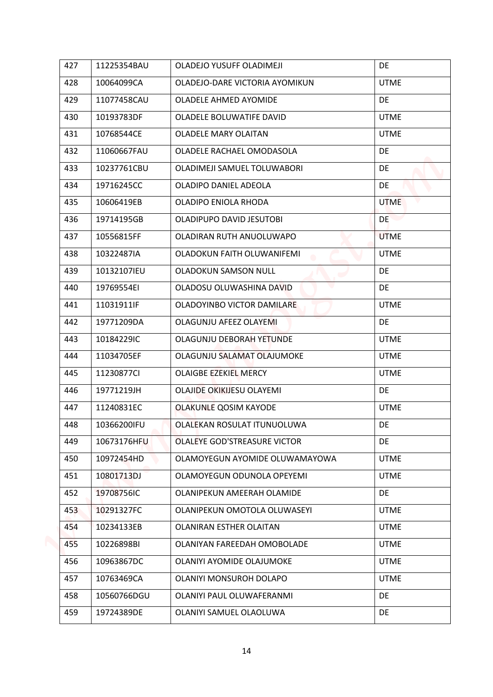| 427 | 11225354BAU | OLADEJO YUSUFF OLADIMEJI       | DE          |
|-----|-------------|--------------------------------|-------------|
| 428 | 10064099CA  | OLADEJO-DARE VICTORIA AYOMIKUN | <b>UTME</b> |
| 429 | 11077458CAU | OLADELE AHMED AYOMIDE          | DE          |
| 430 | 10193783DF  | OLADELE BOLUWATIFE DAVID       | <b>UTME</b> |
| 431 | 10768544CE  | OLADELE MARY OLAITAN           | <b>UTME</b> |
| 432 | 11060667FAU | OLADELE RACHAEL OMODASOLA      | <b>DE</b>   |
| 433 | 10237761CBU | OLADIMEJI SAMUEL TOLUWABORI    | DE          |
| 434 | 19716245CC  | OLADIPO DANIEL ADEOLA          | DE          |
| 435 | 10606419EB  | OLADIPO ENIOLA RHODA           | <b>UTME</b> |
| 436 | 19714195GB  | OLADIPUPO DAVID JESUTOBI       | DE          |
| 437 | 10556815FF  | OLADIRAN RUTH ANUOLUWAPO       | <b>UTME</b> |
| 438 | 10322487IA  | OLADOKUN FAITH OLUWANIFEMI     | <b>UTME</b> |
| 439 | 10132107IEU | <b>OLADOKUN SAMSON NULL</b>    | DE          |
| 440 | 19769554EI  | OLADOSU OLUWASHINA DAVID       | <b>DE</b>   |
| 441 | 11031911IF  | OLADOYINBO VICTOR DAMILARE     | <b>UTME</b> |
| 442 | 19771209DA  | OLAGUNJU AFEEZ OLAYEMI         | DE          |
| 443 | 10184229IC  | OLAGUNJU DEBORAH YETUNDE       | <b>UTME</b> |
| 444 | 11034705EF  | OLAGUNJU SALAMAT OLAJUMOKE     | <b>UTME</b> |
| 445 | 11230877CI  | <b>OLAIGBE EZEKIEL MERCY</b>   | <b>UTME</b> |
| 446 | 19771219JH  | OLAJIDE OKIKIJESU OLAYEMI      | DE          |
| 447 | 11240831EC  | <b>OLAKUNLE QOSIM KAYODE</b>   | <b>UTME</b> |
| 448 | 10366200IFU | OLALEKAN ROSULAT ITUNUOLUWA    | DE          |
| 449 | 10673176HFU | OLALEYE GOD'STREASURE VICTOR   | DE          |
| 450 | 10972454HD  | OLAMOYEGUN AYOMIDE OLUWAMAYOWA | <b>UTME</b> |
| 451 | 10801713DJ  | OLAMOYEGUN ODUNOLA OPEYEMI     | <b>UTME</b> |
| 452 | 19708756IC  | OLANIPEKUN AMEERAH OLAMIDE     | DE          |
| 453 | 10291327FC  | OLANIPEKUN OMOTOLA OLUWASEYI   | <b>UTME</b> |
| 454 | 10234133EB  | OLANIRAN ESTHER OLAITAN        | <b>UTME</b> |
| 455 | 10226898BI  | OLANIYAN FAREEDAH OMOBOLADE    | <b>UTME</b> |
| 456 | 10963867DC  | OLANIYI AYOMIDE OLAJUMOKE      | <b>UTME</b> |
| 457 | 10763469CA  | OLANIYI MONSUROH DOLAPO        | <b>UTME</b> |
| 458 | 10560766DGU | OLANIYI PAUL OLUWAFERANMI      | DE.         |
| 459 | 19724389DE  | OLANIYI SAMUEL OLAOLUWA        | DE          |
|     |             |                                |             |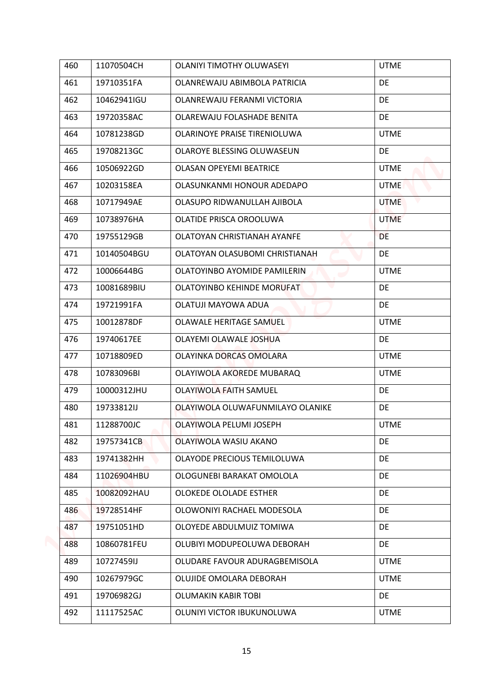| 460 | 11070504CH  | <b>OLANIYI TIMOTHY OLUWASEYI</b>                         | <b>UTME</b> |
|-----|-------------|----------------------------------------------------------|-------------|
| 461 | 19710351FA  | OLANREWAJU ABIMBOLA PATRICIA                             | DE          |
| 462 | 10462941IGU | OLANREWAJU FERANMI VICTORIA                              | DE          |
| 463 | 19720358AC  | OLAREWAJU FOLASHADE BENITA                               | DE          |
| 464 | 10781238GD  | OLARINOYE PRAISE TIRENIOLUWA                             | <b>UTME</b> |
| 465 | 19708213GC  | <b>OLAROYE BLESSING OLUWASEUN</b>                        | DE          |
| 466 | 10506922GD  | <b>OLASAN OPEYEMI BEATRICE</b>                           | <b>UTME</b> |
| 467 | 10203158EA  | OLASUNKANMI HONOUR ADEDAPO                               | <b>UTME</b> |
| 468 | 10717949AE  | OLASUPO RIDWANULLAH AJIBOLA                              | <b>UTME</b> |
| 469 | 10738976HA  | OLATIDE PRISCA OROOLUWA                                  | <b>UTME</b> |
| 470 | 19755129GB  | OLATOYAN CHRISTIANAH AYANFE                              | <b>DE</b>   |
| 471 | 10140504BGU | OLATOYAN OLASUBOMI CHRISTIANAH                           | DE          |
| 472 | 10006644BG  | OLATOYINBO AYOMIDE PAMILERIN<br>$\overline{\phantom{a}}$ | <b>UTME</b> |
| 473 | 10081689BIU | OLATOYINBO KEHINDE MORUFAT                               | DE          |
| 474 | 19721991FA  | OLATUJI MAYOWA ADUA                                      | DE          |
| 475 | 10012878DF  | OLAWALE HERITAGE SAMUEL                                  | <b>UTME</b> |
| 476 | 19740617EE  | OLAYEMI OLAWALE JOSHUA                                   | <b>DE</b>   |
| 477 | 10718809ED  | OLAYINKA DORCAS OMOLARA                                  | <b>UTME</b> |
| 478 | 10783096BI  | OLAYIWOLA AKOREDE MUBARAQ                                | <b>UTME</b> |
| 479 | 10000312JHU | <b>OLAYIWOLA FAITH SAMUEL</b>                            | DE          |
| 480 | 19733812IJ  | OLAYIWOLA OLUWAFUNMILAYO OLANIKE                         | DE          |
| 481 | 11288700JC  | OLAYIWOLA PELUMI JOSEPH                                  | <b>UTME</b> |
| 482 | 19757341CB  | OLAYIWOLA WASIU AKANO                                    | DE          |
| 483 | 19741382HH  | OLAYODE PRECIOUS TEMILOLUWA                              | DE          |
| 484 | 11026904HBU | OLOGUNEBI BARAKAT OMOLOLA                                | DE          |
| 485 | 10082092HAU | OLOKEDE OLOLADE ESTHER                                   | <b>DE</b>   |
| 486 | 19728514HF  | OLOWONIYI RACHAEL MODESOLA                               | DE          |
| 487 | 19751051HD  | OLOYEDE ABDULMUIZ TOMIWA                                 | DE          |
| 488 | 10860781FEU | OLUBIYI MODUPEOLUWA DEBORAH                              | DE          |
| 489 | 10727459IJ  | OLUDARE FAVOUR ADURAGBEMISOLA                            | <b>UTME</b> |
| 490 | 10267979GC  | OLUJIDE OMOLARA DEBORAH                                  | <b>UTME</b> |
| 491 | 19706982GJ  | OLUMAKIN KABIR TOBI                                      | DE          |
| 492 | 11117525AC  | OLUNIYI VICTOR IBUKUNOLUWA                               | <b>UTME</b> |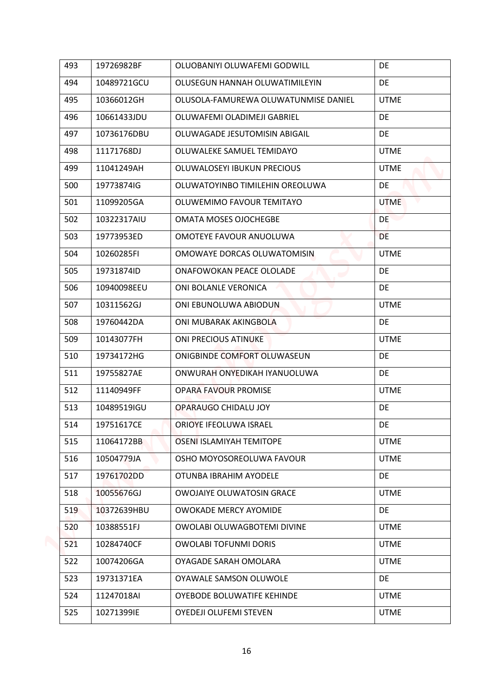| 493 | 19726982BF  | OLUOBANIYI OLUWAFEMI GODWILL         | DE          |
|-----|-------------|--------------------------------------|-------------|
| 494 | 10489721GCU | OLUSEGUN HANNAH OLUWATIMILEYIN       | DE          |
| 495 | 10366012GH  | OLUSOLA-FAMUREWA OLUWATUNMISE DANIEL | <b>UTME</b> |
| 496 | 10661433JDU | OLUWAFEMI OLADIMEJI GABRIEL          | DE          |
| 497 | 10736176DBU | OLUWAGADE JESUTOMISIN ABIGAIL        | DE          |
| 498 | 11171768DJ  | OLUWALEKE SAMUEL TEMIDAYO            | <b>UTME</b> |
| 499 | 11041249AH  | OLUWALOSEYI IBUKUN PRECIOUS          | <b>UTME</b> |
| 500 | 19773874IG  | OLUWATOYINBO TIMILEHIN OREOLUWA      | <b>DE</b>   |
| 501 | 11099205GA  | OLUWEMIMO FAVOUR TEMITAYO            | <b>UTME</b> |
| 502 | 10322317AIU | <b>OMATA MOSES OJOCHEGBE</b>         | DE.         |
| 503 | 19773953ED  | OMOTEYE FAVOUR ANUOLUWA              | <b>DE</b>   |
| 504 | 10260285FI  | OMOWAYE DORCAS OLUWATOMISIN          | <b>UTME</b> |
| 505 | 19731874ID  | ONAFOWOKAN PEACE OLOLADE             | DE          |
| 506 | 10940098EEU | ONI BOLANLE VERONICA                 | DE.         |
| 507 | 10311562GJ  | ONI EBUNOLUWA ABIODUN                | <b>UTME</b> |
| 508 | 19760442DA  | ONI MUBARAK AKINGBOLA                | DE          |
| 509 | 10143077FH  | <b>ONI PRECIOUS ATINUKE</b>          | <b>UTME</b> |
| 510 | 19734172HG  | ONIGBINDE COMFORT OLUWASEUN          | <b>DE</b>   |
| 511 | 19755827AE  | ONWURAH ONYEDIKAH IYANUOLUWA         | <b>DE</b>   |
| 512 | 11140949FF  | <b>OPARA FAVOUR PROMISE</b>          | <b>UTME</b> |
| 513 | 10489519IGU | OPARAUGO CHIDALU JOY                 | DE          |
| 514 | 19751617CE  | ORIOYE IFEOLUWA ISRAEL               | DE          |
| 515 | 11064172BB  | OSENI ISLAMIYAH TEMITOPE             | <b>UTME</b> |
| 516 | 10504779JA  | OSHO MOYOSOREOLUWA FAVOUR            | <b>UTME</b> |
| 517 | 19761702DD  | OTUNBA IBRAHIM AYODELE               | DE          |
| 518 | 10055676GJ  | <b>OWOJAIYE OLUWATOSIN GRACE</b>     | <b>UTME</b> |
| 519 | 10372639HBU | <b>OWOKADE MERCY AYOMIDE</b>         | DE.         |
| 520 | 10388551FJ  | OWOLABI OLUWAGBOTEMI DIVINE          | <b>UTME</b> |
| 521 | 10284740CF  | <b>OWOLABI TOFUNMI DORIS</b>         | <b>UTME</b> |
| 522 | 10074206GA  | OYAGADE SARAH OMOLARA                | <b>UTME</b> |
| 523 | 19731371EA  | OYAWALE SAMSON OLUWOLE               | DE          |
| 524 | 11247018AI  | OYEBODE BOLUWATIFE KEHINDE           | <b>UTME</b> |
| 525 | 10271399IE  | <b>OYEDEJI OLUFEMI STEVEN</b>        | <b>UTME</b> |
|     |             |                                      |             |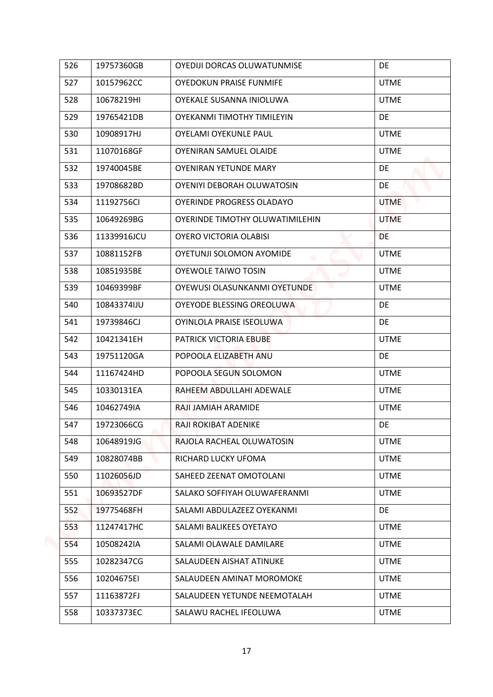| 526 | 19757360GB  | OYEDIJI DORCAS OLUWATUNMISE     | DE          |
|-----|-------------|---------------------------------|-------------|
| 527 | 10157962CC  | <b>OYEDOKUN PRAISE FUNMIFE</b>  | <b>UTME</b> |
| 528 | 10678219HI  | OYEKALE SUSANNA INIOLUWA        | <b>UTME</b> |
| 529 | 19765421DB  | OYEKANMI TIMOTHY TIMILEYIN      | <b>DE</b>   |
| 530 | 10908917HJ  | OYELAMI OYEKUNLE PAUL           | <b>UTME</b> |
| 531 | 11070168GF  | OYENIRAN SAMUEL OLAIDE          | <b>UTME</b> |
| 532 | 19740045BE  | OYENIRAN YETUNDE MARY           | <b>DE</b>   |
| 533 | 19708682BD  | OYENIYI DEBORAH OLUWATOSIN      | DE.         |
| 534 | 11192756CI  | OYERINDE PROGRESS OLADAYO       | <b>UTME</b> |
| 535 | 10649269BG  | OYERINDE TIMOTHY OLUWATIMILEHIN | <b>UTME</b> |
| 536 | 11339916JCU | OYERO VICTORIA OLABISI          | DE          |
| 537 | 10881152FB  | <b>OYETUNJI SOLOMON AYOMIDE</b> | <b>UTME</b> |
| 538 | 10851935BE  | <b>OYEWOLE TAIWO TOSIN</b>      | <b>UTME</b> |
| 539 | 10469399BF  | OYEWUSI OLASUNKANMI OYETUNDE    | <b>UTME</b> |
| 540 | 10843374IJU | OYEYODE BLESSING OREOLUWA       | DE          |
| 541 | 19739846CJ  | OYINLOLA PRAISE ISEOLUWA        | DE          |
| 542 | 10421341EH  | PATRICK VICTORIA EBUBE          | <b>UTME</b> |
| 543 | 19751120GA  | POPOOLA ELIZABETH ANU           | <b>DE</b>   |
| 544 | 11167424HD  | POPOOLA SEGUN SOLOMON           | <b>UTME</b> |
| 545 | 10330131EA  | RAHEEM ABDULLAHI ADEWALE        | <b>UTME</b> |
| 546 | 10462749IA  | RAJI JAMIAH ARAMIDE             | <b>UTME</b> |
| 547 | 19723066CG  | RAJI ROKIBAT ADENIKE            | DE          |
| 548 | 10648919JG  | RAJOLA RACHEAL OLUWATOSIN       | <b>UTME</b> |
| 549 | 10828074BB  | RICHARD LUCKY UFOMA             | <b>UTME</b> |
| 550 | 11026056JD  | SAHEED ZEENAT OMOTOLANI         | <b>UTME</b> |
| 551 | 10693527DF  | SALAKO SOFFIYAH OLUWAFERANMI    | <b>UTME</b> |
| 552 | 19775468FH  | SALAMI ABDULAZEEZ OYEKANMI      | DE          |
| 553 | 11247417HC  | SALAMI BALIKEES OYETAYO         | <b>UTME</b> |
| 554 | 10508242IA  | SALAMI OLAWALE DAMILARE         | <b>UTME</b> |
| 555 | 10282347CG  | SALAUDEEN AISHAT ATINUKE        | <b>UTME</b> |
| 556 | 10204675EI  | SALAUDEEN AMINAT MOROMOKE       | <b>UTME</b> |
| 557 | 11163872FJ  | SALAUDEEN YETUNDE NEEMOTALAH    | <b>UTME</b> |
| 558 | 10337373EC  | SALAWU RACHEL IFEOLUWA          | UTME        |
|     |             |                                 |             |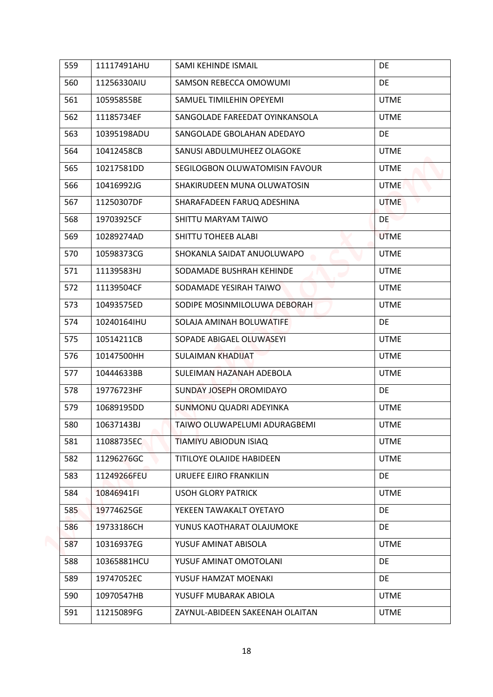| 559 | 11117491AHU | SAMI KEHINDE ISMAIL                | DE          |
|-----|-------------|------------------------------------|-------------|
|     |             |                                    |             |
| 560 | 11256330AIU | SAMSON REBECCA OMOWUMI             | DE          |
| 561 | 10595855BE  | SAMUEL TIMILEHIN OPEYEMI           | <b>UTME</b> |
| 562 | 11185734EF  | SANGOLADE FAREEDAT OYINKANSOLA     | <b>UTME</b> |
| 563 | 10395198ADU | SANGOLADE GBOLAHAN ADEDAYO         | DE          |
| 564 | 10412458CB  | SANUSI ABDULMUHEEZ OLAGOKE         | <b>UTME</b> |
| 565 | 10217581DD  | SEGILOGBON OLUWATOMISIN FAVOUR     | <b>UTME</b> |
| 566 | 10416992JG  | SHAKIRUDEEN MUNA OLUWATOSIN        | <b>UTME</b> |
| 567 | 11250307DF  | SHARAFADEEN FARUQ ADESHINA         | <b>UTME</b> |
| 568 | 19703925CF  | SHITTU MARYAM TAIWO                | <b>DE</b>   |
| 569 | 10289274AD  | SHITTU TOHEEB ALABI                | <b>UTME</b> |
| 570 | 10598373CG  | SHOKANLA SAIDAT ANUOLUWAPO         | <b>UTME</b> |
| 571 | 11139583HJ  | SODAMADE BUSHRAH KEHINDE<br>$\sim$ | <b>UTME</b> |
| 572 | 11139504CF  | SODAMADE YESIRAH TAIWO             | <b>UTME</b> |
| 573 | 10493575ED  | SODIPE MOSINMILOLUWA DEBORAH       | <b>UTME</b> |
| 574 | 10240164IHU | SOLAJA AMINAH BOLUWATIFE           | DE          |
| 575 | 10514211CB  | SOPADE ABIGAEL OLUWASEYI           | <b>UTME</b> |
| 576 | 10147500HH  | SULAIMAN KHADIJAT                  | <b>UTME</b> |
| 577 | 10444633BB  | SULEIMAN HAZANAH ADEBOLA           | <b>UTME</b> |
| 578 | 19776723HF  | SUNDAY JOSEPH OROMIDAYO            | DE          |
| 579 | 10689195DD  | SUNMONU QUADRI ADEYINKA            | <b>UTME</b> |
| 580 | 10637143BJ  | TAIWO OLUWAPELUMI ADURAGBEMI       | <b>UTME</b> |
| 581 | 11088735EC  | TIAMIYU ABIODUN ISIAQ              | <b>UTME</b> |
| 582 | 11296276GC  | TITILOYE OLAJIDE HABIDEEN          | <b>UTME</b> |
| 583 | 11249266FEU | URUEFE EJIRO FRANKILIN             | DE          |
| 584 | 10846941FI  | <b>USOH GLORY PATRICK</b>          | <b>UTME</b> |
| 585 | 19774625GE  | YEKEEN TAWAKALT OYETAYO            | DE          |
| 586 | 19733186CH  | YUNUS KAOTHARAT OLAJUMOKE          | DE          |
| 587 | 10316937EG  | YUSUF AMINAT ABISOLA               | <b>UTME</b> |
| 588 | 10365881HCU | YUSUF AMINAT OMOTOLANI             | DE          |
| 589 | 19747052EC  | YUSUF HAMZAT MOENAKI               | DE          |
| 590 | 10970547HB  | YUSUFF MUBARAK ABIOLA              | <b>UTME</b> |
| 591 | 11215089FG  | ZAYNUL-ABIDEEN SAKEENAH OLAITAN    | <b>UTME</b> |